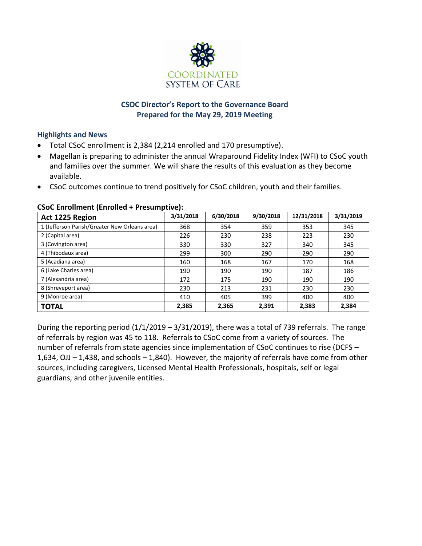

## **CSOC Director's Report to the Governance Board Prepared for the May 29, 2019 Meeting**

#### **Highlights and News**

- Total CSoC enrollment is 2,384 (2,214 enrolled and 170 presumptive).
- Magellan is preparing to administer the annual Wraparound Fidelity Index (WFI) to CSoC youth and families over the summer. We will share the results of this evaluation as they become available.
- CSoC outcomes continue to trend positively for CSoC children, youth and their families.

| Act 1225 Region                               | 3/31/2018 | 6/30/2018 | 9/30/2018 | 12/31/2018 | 3/31/2019 |
|-----------------------------------------------|-----------|-----------|-----------|------------|-----------|
| 1 (Jefferson Parish/Greater New Orleans area) | 368       | 354       | 359       | 353        | 345       |
| 2 (Capital area)                              | 226       | 230       | 238       | 223        | 230       |
| 3 (Covington area)                            | 330       | 330       | 327       | 340        | 345       |
| 4 (Thibodaux area)                            | 299       | 300       | 290       | 290        | 290       |
| 5 (Acadiana area)                             | 160       | 168       | 167       | 170        | 168       |
| 6 (Lake Charles area)                         | 190       | 190       | 190       | 187        | 186       |
| 7 (Alexandria area)                           | 172       | 175       | 190       | 190        | 190       |
| 8 (Shreveport area)                           | 230       | 213       | 231       | 230        | 230       |
| 9 (Monroe area)                               | 410       | 405       | 399       | 400        | 400       |
| <b>TOTAL</b>                                  | 2,385     | 2,365     | 2,391     | 2,383      | 2,384     |

#### **CSoC Enrollment (Enrolled + Presumptive):**

During the reporting period  $(1/1/2019 - 3/31/2019)$ , there was a total of 739 referrals. The range of referrals by region was 45 to 118. Referrals to CSoC come from a variety of sources. The number of referrals from state agencies since implementation of CSoC continues to rise (DCFS – 1,634, OJJ – 1,438, and schools – 1,840). However, the majority of referrals have come from other sources, including caregivers, Licensed Mental Health Professionals, hospitals, self or legal guardians, and other juvenile entities.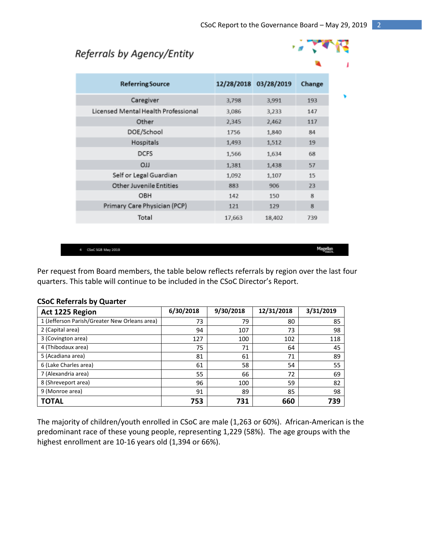## Referrals by Agency/Entity



| <b>Referring Source</b>             |        | 12/28/2018 03/28/2019 | Change |
|-------------------------------------|--------|-----------------------|--------|
| Caregiver                           | 3,798  | 3,991                 | 193    |
| Licensed Mental Health Professional | 3,086  | 3,233                 | 147    |
| Other                               | 2,345  | 2,462                 | 117    |
| DOE/School                          | 1756   | 1,840                 | 84     |
| Hospitals                           | 1,493  | 1,512                 | 19     |
| <b>DCFS</b>                         | 1,566  | 1,634                 | 68     |
| <b>LLO</b>                          | 1,381  | 1,438                 | 57     |
| Self or Legal Guardian              | 1,092  | 1,107                 | 15     |
| <b>Other Juvenile Entities</b>      | 883    | 906                   | 23     |
| OBH                                 | 142    | 150                   | 8      |
| Primary Care Physician (PCP)        | 121    | 129                   | 8      |
| Total                               | 17,663 | 18,402                | 739    |

4 CSpC 5GB May 2019

Per request from Board members, the table below reflects referrals by region over the last four quarters. This table will continue to be included in the CSoC Director's Report.

| Act 1225 Region                               | 6/30/2018 | 9/30/2018 | 12/31/2018 | 3/31/2019 |
|-----------------------------------------------|-----------|-----------|------------|-----------|
| 1 (Jefferson Parish/Greater New Orleans area) | 73        | 79        | 80         | 85        |
| 2 (Capital area)                              | 94        | 107       | 73         | 98        |
| 3 (Covington area)                            | 127       | 100       | 102        | 118       |
| 4 (Thibodaux area)                            | 75        | 71        | 64         | 45        |
| 5 (Acadiana area)                             | 81        | 61        | 71         | 89        |
| 6 (Lake Charles area)                         | 61        | 58        | 54         | 55        |
| 7 (Alexandria area)                           | 55        | 66        | 72         | 69        |
| 8 (Shreveport area)                           | 96        | 100       | 59         | 82        |
| 9 (Monroe area)                               | 91        | 89        | 85         | 98        |
| ΤΟΤΑL                                         | 753       | 731       | 660        | 739       |

#### **CSoC Referrals by Quarter**

The majority of children/youth enrolled in CSoC are male (1,263 or 60%). African-American is the predominant race of these young people, representing 1,229 (58%). The age groups with the highest enrollment are 10-16 years old (1,394 or 66%).

Magellan<br>Magellan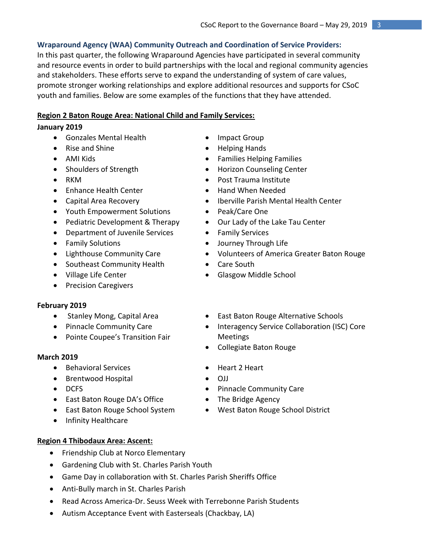## **Wraparound Agency (WAA) Community Outreach and Coordination of Service Providers:**

In this past quarter, the following Wraparound Agencies have participated in several community and resource events in order to build partnerships with the local and regional community agencies and stakeholders. These efforts serve to expand the understanding of system of care values, promote stronger working relationships and explore additional resources and supports for CSoC youth and families. Below are some examples of the functions that they have attended.

## **Region 2 Baton Rouge Area: National Child and Family Services:**

#### **January 2019**

- Gonzales Mental Health
- Rise and Shine
- AMI Kids
- Shoulders of Strength
- $\bullet$  RKM
- Enhance Health Center
- Capital Area Recovery
- Youth Empowerment Solutions
- Pediatric Development & Therapy
- Department of Juvenile Services
- **•** Family Solutions
- Lighthouse Community Care
- Southeast Community Health
- Village Life Center
- Precision Caregivers

#### **February 2019**

- Stanley Mong, Capital Area
- Pinnacle Community Care
- Pointe Coupee's Transition Fair

#### **March 2019**

- Behavioral Services
- Brentwood Hospital
- DCFS
- East Baton Rouge DA's Office
- East Baton Rouge School System
- Infinity Healthcare

#### **Region 4 Thibodaux Area: Ascent:**

- Friendship Club at Norco Elementary
- Gardening Club with St. Charles Parish Youth
- Game Day in collaboration with St. Charles Parish Sheriffs Office
- Anti-Bully march in St. Charles Parish
- Read Across America-Dr. Seuss Week with Terrebonne Parish Students
- Autism Acceptance Event with Easterseals (Chackbay, LA)
- Impact Group
- Helping Hands
- Families Helping Families
- Horizon Counseling Center
- Post Trauma Institute
- Hand When Needed
- Iberville Parish Mental Health Center
- Peak/Care One
- Our Lady of the Lake Tau Center
- **•** Family Services
- Journey Through Life
- Volunteers of America Greater Baton Rouge
- Care South
- Glasgow Middle School
- East Baton Rouge Alternative Schools
- Interagency Service Collaboration (ISC) Core Meetings
- Collegiate Baton Rouge
- Heart 2 Heart
- $\bullet$  O.I.I
- Pinnacle Community Care
- The Bridge Agency
- West Baton Rouge School District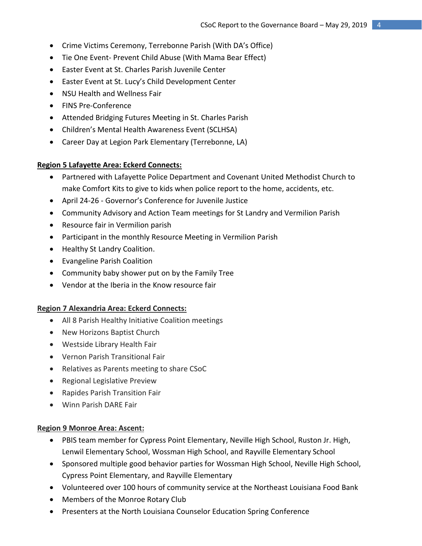- Crime Victims Ceremony, Terrebonne Parish (With DA's Office)
- Tie One Event- Prevent Child Abuse (With Mama Bear Effect)
- Easter Event at St. Charles Parish Juvenile Center
- Easter Event at St. Lucy's Child Development Center
- NSU Health and Wellness Fair
- FINS Pre-Conference
- Attended Bridging Futures Meeting in St. Charles Parish
- Children's Mental Health Awareness Event (SCLHSA)
- Career Day at Legion Park Elementary (Terrebonne, LA)

#### **Region 5 Lafayette Area: Eckerd Connects:**

- Partnered with Lafayette Police Department and Covenant United Methodist Church to make Comfort Kits to give to kids when police report to the home, accidents, etc.
- April 24-26 Governor's Conference for Juvenile Justice
- Community Advisory and Action Team meetings for St Landry and Vermilion Parish
- Resource fair in Vermilion parish
- Participant in the monthly Resource Meeting in Vermilion Parish
- Healthy St Landry Coalition.
- Evangeline Parish Coalition
- Community baby shower put on by the Family Tree
- Vendor at the Iberia in the Know resource fair

#### **Region 7 Alexandria Area: Eckerd Connects:**

- All 8 Parish Healthy Initiative Coalition meetings
- New Horizons Baptist Church
- Westside Library Health Fair
- Vernon Parish Transitional Fair
- Relatives as Parents meeting to share CSoC
- Regional Legislative Preview
- Rapides Parish Transition Fair
- Winn Parish DARE Fair

#### **Region 9 Monroe Area: Ascent:**

- PBIS team member for Cypress Point Elementary, Neville High School, Ruston Jr. High, Lenwil Elementary School, Wossman High School, and Rayville Elementary School
- Sponsored multiple good behavior parties for Wossman High School, Neville High School, Cypress Point Elementary, and Rayville Elementary
- Volunteered over 100 hours of community service at the Northeast Louisiana Food Bank
- Members of the Monroe Rotary Club
- Presenters at the North Louisiana Counselor Education Spring Conference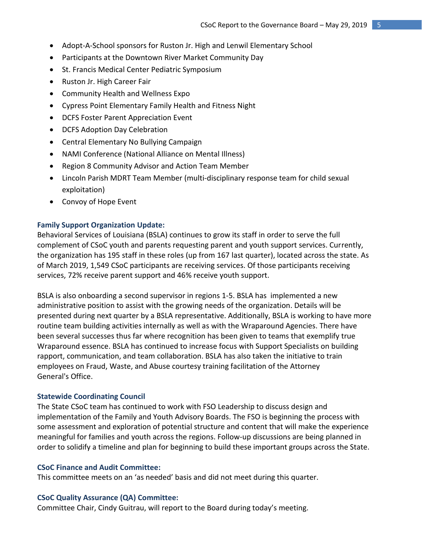- Adopt-A-School sponsors for Ruston Jr. High and Lenwil Elementary School
- Participants at the Downtown River Market Community Day
- St. Francis Medical Center Pediatric Symposium
- Ruston Jr. High Career Fair
- Community Health and Wellness Expo
- Cypress Point Elementary Family Health and Fitness Night
- DCFS Foster Parent Appreciation Event
- DCFS Adoption Day Celebration
- Central Elementary No Bullying Campaign
- NAMI Conference (National Alliance on Mental Illness)
- Region 8 Community Advisor and Action Team Member
- Lincoln Parish MDRT Team Member (multi-disciplinary response team for child sexual exploitation)
- Convoy of Hope Event

#### **Family Support Organization Update:**

Behavioral Services of Louisiana (BSLA) continues to grow its staff in order to serve the full complement of CSoC youth and parents requesting parent and youth support services. Currently, the organization has 195 staff in these roles (up from 167 last quarter), located across the state. As of March 2019, 1,549 CSoC participants are receiving services. Of those participants receiving services, 72% receive parent support and 46% receive youth support.

BSLA is also onboarding a second supervisor in regions 1-5. BSLA has implemented a new administrative position to assist with the growing needs of the organization. Details will be presented during next quarter by a BSLA representative. Additionally, BSLA is working to have more routine team building activities internally as well as with the Wraparound Agencies. There have been several successes thus far where recognition has been given to teams that exemplify true Wraparound essence. BSLA has continued to increase focus with Support Specialists on building rapport, communication, and team collaboration. BSLA has also taken the initiative to train employees on Fraud, Waste, and Abuse courtesy training facilitation of the Attorney General's Office.

#### **Statewide Coordinating Council**

The State CSoC team has continued to work with FSO Leadership to discuss design and implementation of the Family and Youth Advisory Boards. The FSO is beginning the process with some assessment and exploration of potential structure and content that will make the experience meaningful for families and youth across the regions. Follow-up discussions are being planned in order to solidify a timeline and plan for beginning to build these important groups across the State.

#### **CSoC Finance and Audit Committee:**

This committee meets on an 'as needed' basis and did not meet during this quarter.

#### **CSoC Quality Assurance (QA) Committee:**

Committee Chair, Cindy Guitrau, will report to the Board during today's meeting.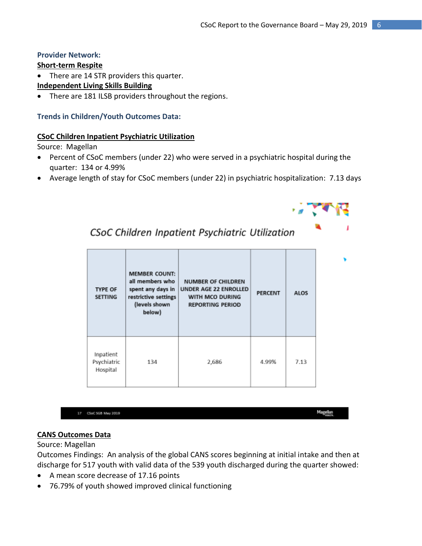## **Provider Network:**

## **Short-term Respite**

• There are 14 STR providers this quarter.

## **Independent Living Skills Building**

There are 181 ILSB providers throughout the regions.

## **Trends in Children/Youth Outcomes Data:**

## **CSoC Children Inpatient Psychiatric Utilization**

Source: Magellan

 Percent of CSoC members (under 22) who were served in a psychiatric hospital during the quarter: 134 or 4.99%

CSoC Children Inpatient Psychiatric Utilization

Average length of stay for CSoC members (under 22) in psychiatric hospitalization: 7.13 days



17 CSoC SGB May 2019

Magellan<br>"

## **CANS Outcomes Data**

#### Source: Magellan

Outcomes Findings: An analysis of the global CANS scores beginning at initial intake and then at discharge for 517 youth with valid data of the 539 youth discharged during the quarter showed:

- A mean score decrease of 17.16 points
- 76.79% of youth showed improved clinical functioning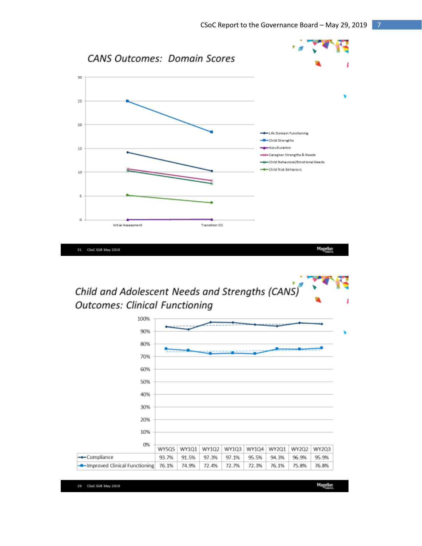

Child and Adolescent Needs and Strengths (CANS) **Outcomes: Clinical Functioning** 



29 CSoC SGB May 2019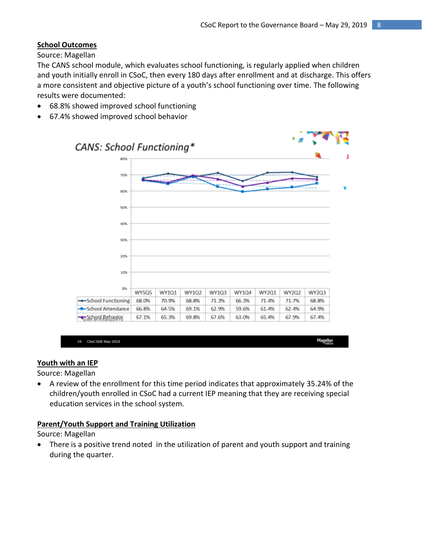## **School Outcomes**

Source: Magellan

The CANS school module, which evaluates school functioning, is regularly applied when children and youth initially enroll in CSoC, then every 180 days after enrollment and at discharge. This offers a more consistent and objective picture of a youth's school functioning over time. The following results were documented:

- 68.8% showed improved school functioning
- 67.4% showed improved school behavior



| 25 | CSoC 5GB May 2019 | Magellan |
|----|-------------------|----------|
|    |                   |          |

#### **Youth with an IEP**

Source: Magellan

 A review of the enrollment for this time period indicates that approximately 35.24% of the children/youth enrolled in CSoC had a current IEP meaning that they are receiving special education services in the school system.

#### **Parent/Youth Support and Training Utilization**

Source: Magellan

• There is a positive trend noted in the utilization of parent and youth support and training during the quarter.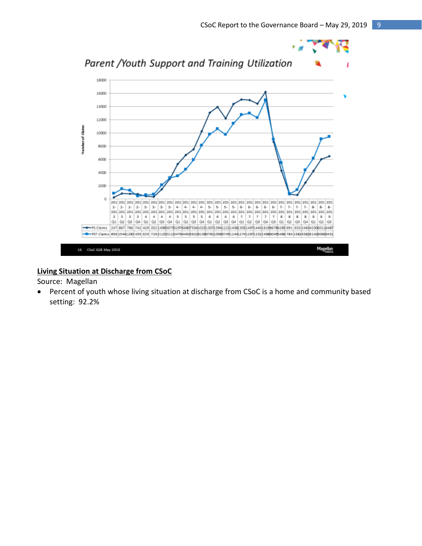

## **Living Situation at Discharge from CSoC**

## Source: Magellan

 Percent of youth whose living situation at discharge from CSoC is a home and community based setting: 92.2%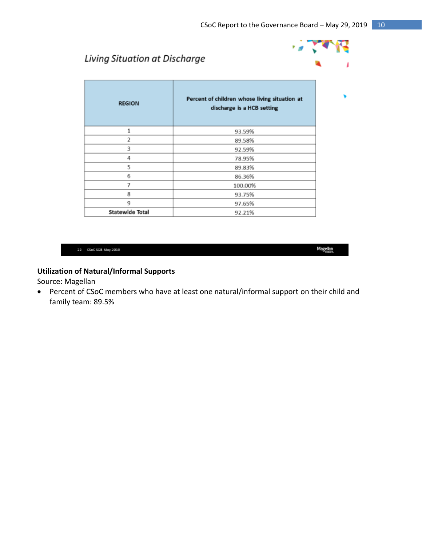الاني و

**SP** 

I

۷

Magellan<br>Magellan

# Living Situation at Discharge

| <b>REGION</b>           | Percent of children whose living situation at<br>discharge is a HCB setting |  |  |
|-------------------------|-----------------------------------------------------------------------------|--|--|
| 1                       | 93.59%                                                                      |  |  |
| $\overline{\mathbf{2}}$ | 89.58%                                                                      |  |  |
| 3                       | 92.59%                                                                      |  |  |
| 4                       | 78.95%                                                                      |  |  |
| 5                       | 89.83%                                                                      |  |  |
| 6                       | 86.36%                                                                      |  |  |
| 7                       | 100.00%                                                                     |  |  |
| 8                       | 93.75%                                                                      |  |  |
| 9                       | 97.65%                                                                      |  |  |
| <b>Statewide Total</b>  | 92.21%                                                                      |  |  |

#### 22 CSoC 5GB May 2019

## **Utilization of Natural/Informal Supports**

Source: Magellan

 Percent of CSoC members who have at least one natural/informal support on their child and family team: 89.5%